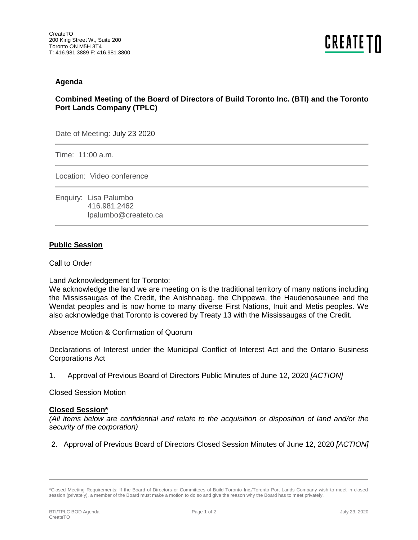## **Agenda**

## **Combined Meeting of the Board of Directors of Build Toronto Inc. (BTI) and the Toronto Port Lands Company (TPLC)**

Date of Meeting: July 23 2020

Time: 11:00 a.m.

Location: Video conference

Enquiry: Lisa Palumbo 416.981.2462 lpalumbo@createto.ca

## **Public Session**

Call to Order

Land Acknowledgement for Toronto:

We acknowledge the land we are meeting on is the traditional territory of many nations including the Mississaugas of the Credit, the Anishnabeg, the Chippewa, the Haudenosaunee and the Wendat peoples and is now home to many diverse First Nations, Inuit and Metis peoples. We also acknowledge that Toronto is covered by Treaty 13 with the Mississaugas of the Credit.

Absence Motion & Confirmation of Quorum

Declarations of Interest under the Municipal Conflict of Interest Act and the Ontario Business Corporations Act

1. Approval of Previous Board of Directors Public Minutes of June 12, 2020 *[ACTION]* 

Closed Session Motion

## **Closed Session\***

*(All items below are confidential and relate to the acquisition or disposition of land and/or the security of the corporation)*

2. Approval of Previous Board of Directors Closed Session Minutes of June 12, 2020 *[ACTION]* 

<sup>\*</sup>Closed Meeting Requirements: If the Board of Directors or Committees of Build Toronto Inc./Toronto Port Lands Company wish to meet in closed session (privately), a member of the Board must make a motion to do so and give the reason why the Board has to meet privately.